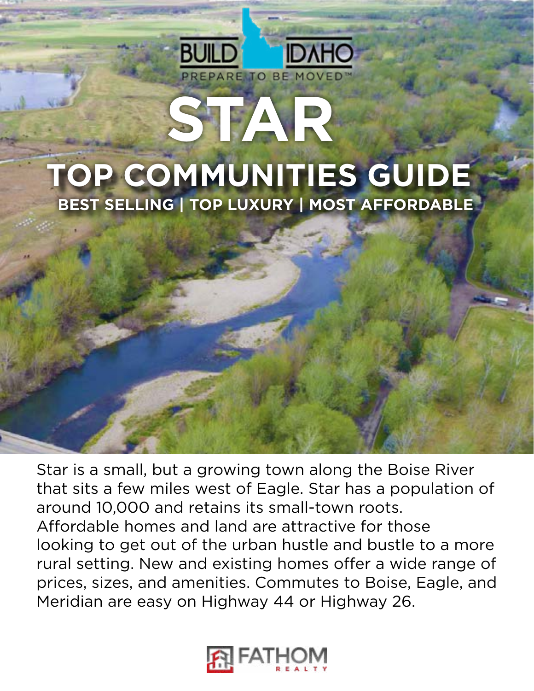# **STAR TOP COMMUNITIES GUIDE BEST SELLING | TOP LUXURY | MOST AFFORDABLE**

PREPARE TO BE MOVED

**IDAHO** 

Star is a small, but a growing town along the Boise River that sits a few miles west of Eagle. Star has a population of around 10,000 and retains its small-town roots. Affordable homes and land are attractive for those looking to get out of the urban hustle and bustle to a more rural setting. New and existing homes offer a wide range of prices, sizes, and amenities. Commutes to Boise, Eagle, and Meridian are easy on Highway 44 or Highway 26.